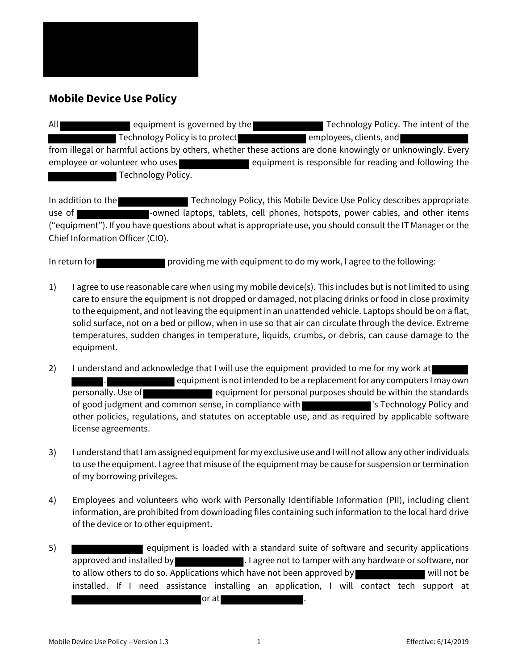

## **Mobile Device Use Policy**

All equipment is governed by the Technology Policy. The intent of the Technology Policy is to protect entering the mployees, clients, and from illegal or harmful actions by others, whether these actions are done knowingly or unknowingly. Every employee or volunteer who uses equipment is responsible for reading and following the Technology Policy.

In addition to the Technology Policy, this Mobile Device Use Policy describes appropriate use of **Fig. 2018** -owned laptops, tablets, cell phones, hotspots, power cables, and other items ("equipment"). If you have questions about what is appropriate use, you should consult the IT Manager or the Chief Information Officer (CIO).

In return for **providing me** with equipment to do my work, I agree to the following:

- 1) I agree to use reasonable care when using my mobile device(s). This includes but is not limited to using care to ensure the equipment is not dropped or damaged, not placing drinks or food in close proximity to the equipment, and not leaving the equipment in an unattended vehicle. Laptops should be on a flat, solid surface, not on a bed or pillow, when in use so that air can circulate through the device. Extreme temperatures, sudden changes in temperature, liquids, crumbs, or debris, can cause damage to the equipment.
- 2) I understand and acknowledge that I will use the equipment provided to me for my work at . equipment is not intended to be a replacement for any computers I may own personally. Use of equipment for personal purposes should be within the standards of good judgment and common sense, in compliance with  $\blacksquare$  's Technology Policy and other policies, regulations, and statutes on acceptable use, and as required by applicable software license agreements.
- 3) I understand that I am assigned equipmentfor my exclusive use and I will not allow any other individuals to use the equipment. I agree that misuse of the equipment may be cause for suspension or termination of my borrowing privileges.
- 4) Employees and volunteers who work with Personally Identifiable Information (PII), including client information, are prohibited from downloading files containing such information to the local hard drive of the device or to other equipment.
- 5) equipment is loaded with a standard suite of software and security applications approved and installed by  $\blacksquare$ . I agree not to tamper with any hardware or software, nor to allow others to do so. Applications which have not been approved by will not be installed. If I need assistance installing an application, I will contact tech support at **b** or at